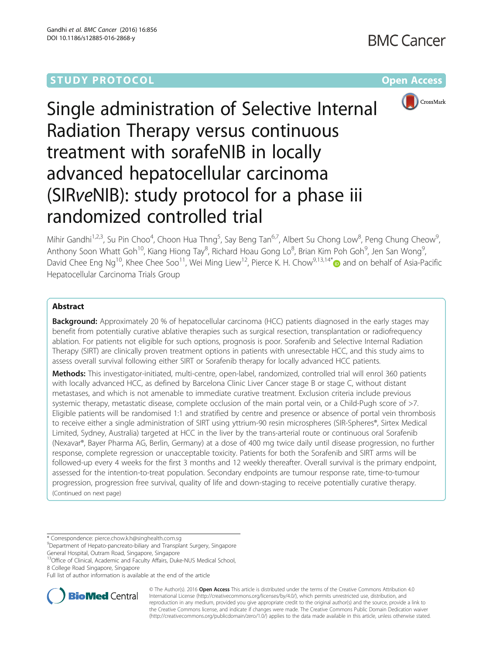# **STUDY PROTOCOL CONSUMING THE RESERVE ACCESS**



Single administration of Selective Internal Radiation Therapy versus continuous treatment with sorafeNIB in locally advanced hepatocellular carcinoma (SIRveNIB): study protocol for a phase iii randomized controlled trial

Mihir Gandhi<sup>1,2,3</sup>, Su Pin Choo<sup>4</sup>, Choon Hua Thng<sup>5</sup>, Say Beng Tan<sup>6,7</sup>, Albert Su Chong Low<sup>8</sup>, Peng Chung Cheow<sup>9</sup> , Anthony Soon Whatt Goh<sup>10</sup>, Kiang Hiong Tay<sup>8</sup>, Richard Hoau Gong Lo<sup>8</sup>, Brian Kim Poh Goh<sup>9</sup>, Jen San Wong<sup>9</sup> , David Chee Eng Ng<sup>10</sup>, Khee Chee Soo<sup>11</sup>, Wei Ming Liew<sup>12</sup>, Pierce K. H. Chow<sup>9,13,14[\\*](http://orcid.org/0000-0003-0584-2584)</sup> and on behalf of Asia-Pacific Hepatocellular Carcinoma Trials Group

## Abstract

**Background:** Approximately 20 % of hepatocellular carcinoma (HCC) patients diagnosed in the early stages may benefit from potentially curative ablative therapies such as surgical resection, transplantation or radiofrequency ablation. For patients not eligible for such options, prognosis is poor. Sorafenib and Selective Internal Radiation Therapy (SIRT) are clinically proven treatment options in patients with unresectable HCC, and this study aims to assess overall survival following either SIRT or Sorafenib therapy for locally advanced HCC patients.

Methods: This investigator-initiated, multi-centre, open-label, randomized, controlled trial will enrol 360 patients with locally advanced HCC, as defined by Barcelona Clinic Liver Cancer stage B or stage C, without distant metastases, and which is not amenable to immediate curative treatment. Exclusion criteria include previous systemic therapy, metastatic disease, complete occlusion of the main portal vein, or a Child-Pugh score of >7. Eligible patients will be randomised 1:1 and stratified by centre and presence or absence of portal vein thrombosis to receive either a single administration of SIRT using yttrium-90 resin microspheres (SIR-Spheres®, Sirtex Medical Limited, Sydney, Australia) targeted at HCC in the liver by the trans-arterial route or continuous oral Sorafenib (Nexavar®, Bayer Pharma AG, Berlin, Germany) at a dose of 400 mg twice daily until disease progression, no further response, complete regression or unacceptable toxicity. Patients for both the Sorafenib and SIRT arms will be followed-up every 4 weeks for the first 3 months and 12 weekly thereafter. Overall survival is the primary endpoint, assessed for the intention-to-treat population. Secondary endpoints are tumour response rate, time-to-tumour progression, progression free survival, quality of life and down-staging to receive potentially curative therapy. (Continued on next page)

\* Correspondence: [pierce.chow.k.h@singhealth.com.sg](mailto:pierce.chow.k.h@singhealth.com.sg) <sup>9</sup>

Department of Hepato-pancreato-biliary and Transplant Surgery, Singapore General Hospital, Outram Road, Singapore, Singapore

<sup>13</sup>Office of Clinical, Academic and Faculty Affairs, Duke-NUS Medical School, 8 College Road Singapore, Singapore

Full list of author information is available at the end of the article



© The Author(s). 2016 Open Access This article is distributed under the terms of the Creative Commons Attribution 4.0 International License [\(http://creativecommons.org/licenses/by/4.0/](http://creativecommons.org/licenses/by/4.0/)), which permits unrestricted use, distribution, and reproduction in any medium, provided you give appropriate credit to the original author(s) and the source, provide a link to the Creative Commons license, and indicate if changes were made. The Creative Commons Public Domain Dedication waiver [\(http://creativecommons.org/publicdomain/zero/1.0/](http://creativecommons.org/publicdomain/zero/1.0/)) applies to the data made available in this article, unless otherwise stated.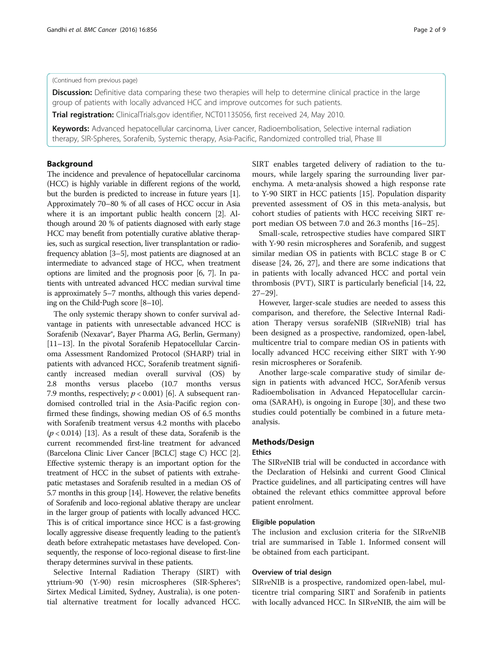## (Continued from previous page)

**Discussion:** Definitive data comparing these two therapies will help to determine clinical practice in the large group of patients with locally advanced HCC and improve outcomes for such patients.

Trial registration: ClinicalTrials.gov identifier, [NCT01135056](https://clinicaltrials.gov/ct2/show/NCT01135056?term=AHCC06&rank=1), first received 24, May 2010.

Keywords: Advanced hepatocellular carcinoma, Liver cancer, Radioembolisation, Selective internal radiation therapy, SIR-Spheres, Sorafenib, Systemic therapy, Asia-Pacific, Randomized controlled trial, Phase III

## Background

The incidence and prevalence of hepatocellular carcinoma (HCC) is highly variable in different regions of the world, but the burden is predicted to increase in future years [[1](#page-7-0)]. Approximately 70–80 % of all cases of HCC occur in Asia where it is an important public health concern [\[2\]](#page-7-0). Although around 20 % of patients diagnosed with early stage HCC may benefit from potentially curative ablative therapies, such as surgical resection, liver transplantation or radiofrequency ablation [\[3](#page-7-0)–[5](#page-7-0)], most patients are diagnosed at an intermediate to advanced stage of HCC, when treatment options are limited and the prognosis poor [\[6](#page-7-0), [7\]](#page-7-0). In patients with untreated advanced HCC median survival time is approximately 5–7 months, although this varies depending on the Child‐Pugh score [\[8](#page-7-0)–[10](#page-7-0)].

The only systemic therapy shown to confer survival advantage in patients with unresectable advanced HCC is Sorafenib (Nexavar®, Bayer Pharma AG, Berlin, Germany) [[11](#page-7-0)–[13\]](#page-7-0). In the pivotal Sorafenib Hepatocellular Carcinoma Assessment Randomized Protocol (SHARP) trial in patients with advanced HCC, Sorafenib treatment significantly increased median overall survival (OS) by 2.8 months versus placebo (10.7 months versus 7.9 months, respectively;  $p < 0.001$  [\[6\]](#page-7-0). A subsequent randomised controlled trial in the Asia-Pacific region confirmed these findings, showing median OS of 6.5 months with Sorafenib treatment versus 4.2 months with placebo  $(p < 0.014)$  [\[13\]](#page-7-0). As a result of these data, Sorafenib is the current recommended first-line treatment for advanced (Barcelona Clinic Liver Cancer [BCLC] stage C) HCC [[2](#page-7-0)]. Effective systemic therapy is an important option for the treatment of HCC in the subset of patients with extrahepatic metastases and Sorafenib resulted in a median OS of 5.7 months in this group [\[14\]](#page-7-0). However, the relative benefits of Sorafenib and loco-regional ablative therapy are unclear in the larger group of patients with locally advanced HCC. This is of critical importance since HCC is a fast-growing locally aggressive disease frequently leading to the patient's death before extrahepatic metastases have developed. Consequently, the response of loco-regional disease to first-line therapy determines survival in these patients.

Selective Internal Radiation Therapy (SIRT) with yttrium-90 (Y-90) resin microspheres (SIR-Spheres<sup>®</sup>; Sirtex Medical Limited, Sydney, Australia), is one potential alternative treatment for locally advanced HCC. SIRT enables targeted delivery of radiation to the tumours, while largely sparing the surrounding liver parenchyma. A meta‐analysis showed a high response rate to Y-90 SIRT in HCC patients [\[15](#page-7-0)]. Population disparity prevented assessment of OS in this meta-analysis, but cohort studies of patients with HCC receiving SIRT report median OS between 7.0 and 26.3 months [\[16](#page-8-0)–[25\]](#page-8-0).

Small-scale, retrospective studies have compared SIRT with Y-90 resin microspheres and Sorafenib, and suggest similar median OS in patients with BCLC stage B or C disease [\[24, 26](#page-8-0), [27](#page-8-0)], and there are some indications that in patients with locally advanced HCC and portal vein thrombosis (PVT), SIRT is particularly beneficial [[14](#page-7-0), [22](#page-8-0), [27](#page-8-0)–[29](#page-8-0)].

However, larger-scale studies are needed to assess this comparison, and therefore, the Selective Internal Radiation Therapy versus sorafeNIB (SIRveNIB) trial has been designed as a prospective, randomized, open-label, multicentre trial to compare median OS in patients with locally advanced HCC receiving either SIRT with Y-90 resin microspheres or Sorafenib.

Another large-scale comparative study of similar design in patients with advanced HCC, SorAfenib versus Radioembolisation in Advanced Hepatocellular carcinoma (SARAH), is ongoing in Europe [[30](#page-8-0)], and these two studies could potentially be combined in a future metaanalysis.

## Methods/Design

## Ethics

The SIRveNIB trial will be conducted in accordance with the Declaration of Helsinki and current Good Clinical Practice guidelines, and all participating centres will have obtained the relevant ethics committee approval before patient enrolment.

## Eligible population

The inclusion and exclusion criteria for the SIRveNIB trial are summarised in Table [1](#page-2-0). Informed consent will be obtained from each participant.

## Overview of trial design

SIRveNIB is a prospective, randomized open-label, multicentre trial comparing SIRT and Sorafenib in patients with locally advanced HCC. In SIRveNIB, the aim will be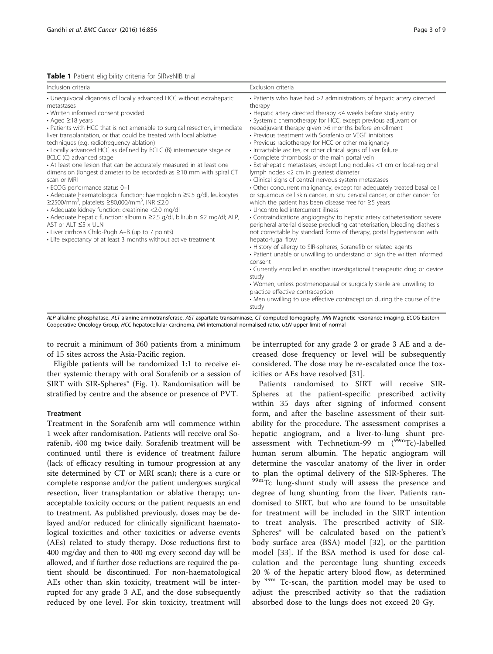<span id="page-2-0"></span>

| Inclusion criteria                                                                                                                                                                                                                                                                                                                                                                                                                                                                                                                                                                                                                                                                                                                                                                                                                                                                                                                                                                                                                                                                                   | Exclusion criteria                                                                                                                                                                                                                                                                                                                                                                                                                                                                                                                                                                                                                                                                                                                                                                                                                                                                                                                                                                                                                                                                                                                                                                                                                                                                                                                                                                                                                                                                                                                                                                                                                                                      |
|------------------------------------------------------------------------------------------------------------------------------------------------------------------------------------------------------------------------------------------------------------------------------------------------------------------------------------------------------------------------------------------------------------------------------------------------------------------------------------------------------------------------------------------------------------------------------------------------------------------------------------------------------------------------------------------------------------------------------------------------------------------------------------------------------------------------------------------------------------------------------------------------------------------------------------------------------------------------------------------------------------------------------------------------------------------------------------------------------|-------------------------------------------------------------------------------------------------------------------------------------------------------------------------------------------------------------------------------------------------------------------------------------------------------------------------------------------------------------------------------------------------------------------------------------------------------------------------------------------------------------------------------------------------------------------------------------------------------------------------------------------------------------------------------------------------------------------------------------------------------------------------------------------------------------------------------------------------------------------------------------------------------------------------------------------------------------------------------------------------------------------------------------------------------------------------------------------------------------------------------------------------------------------------------------------------------------------------------------------------------------------------------------------------------------------------------------------------------------------------------------------------------------------------------------------------------------------------------------------------------------------------------------------------------------------------------------------------------------------------------------------------------------------------|
| • Unequivocal diganosis of locally advanced HCC without extrahepatic<br>metastases<br>• Written informed consent provided<br>$\cdot$ Aged $\geq$ 18 years<br>• Patients with HCC that is not amenable to surgical resection, immediate<br>liver transplantation, or that could be treated with local ablative<br>techniques (e.g. radiofrequency ablation)<br>• Locally advanced HCC as defined by BCLC (B) intermediate stage or<br>BCLC (C) advanced stage<br>• At least one lesion that can be accurately measured in at least one<br>dimension (longest diameter to be recorded) as $\geq$ 10 mm with spiral CT<br>scan or MRI<br>· ECOG performance status 0-1<br>• Adequate haematological function: haemoglobin ≥9.5 g/dl, leukocytes<br>≥2500/mm <sup>3</sup> , platelets ≥80,000/mm <sup>3</sup> , INR ≤2.0<br>• Adequate kidney function: creatinine <2.0 mg/dl<br>• Adequate hepatic function: albumin ≥2.5 g/dl, bilirubin ≤2 mg/dl; ALP,<br>AST or ALT ≤5 x ULN<br>• Liver cirrhosis Child-Pugh A-B (up to 7 points)<br>• Life expectancy of at least 3 months without active treatment | • Patients who have had >2 administrations of hepatic artery directed<br>therapy<br>• Hepatic artery directed therapy <4 weeks before study entry<br>· Systemic chemotherapy for HCC, except previous adjuvant or<br>neoadjuvant therapy given >6 months before enrollment<br>• Previous treatment with Sorafenib or VEGF inhibitors<br>• Previous radiotherapy for HCC or other malignancy<br>· Intractable ascites, or other clinical signs of liver failure<br>• Complete thrombosis of the main portal vein<br>· Extrahepatic metastases, except lung nodules <1 cm or local-regional<br>lymph nodes <2 cm in greatest diameter<br>• Clinical signs of central nervous system metastases<br>. Other concurrent malignancy, except for adequately treated basal cell<br>or squamous cell skin cancer, in situ cervical cancer, or other cancer for<br>which the patient has been disease free for $\geq$ 5 years<br>• Uncontrolled intercurrent illness<br>• Contraindications angiograghy to hepatic artery catheterisation: severe<br>peripheral arterial disease precluding catheterisation, bleeding diathesis<br>not correctable by standard forms of therapy, portal hypertension with<br>hepato-fugal flow<br>• History of allergy to SIR-spheres, Soranefib or related agents<br>• Patient unable or unwilling to understand or sign the written informed<br>consent<br>• Currently enrolled in another investigational therapeutic drug or device<br>study<br>• Women, unless postmenopausal or surgically sterile are unwilling to<br>practice effective contraception<br>• Men unwilling to use effective contraception during the course of the<br>study |

ALP alkaline phosphatase, ALT alanine aminotransferase, AST aspartate transaminase, CT computed tomography, MRI Magnetic resonance imaging, ECOG Eastern Cooperative Oncology Group, HCC hepatocellular carcinoma, INR international normalised ratio, ULN upper limit of normal

to recruit a minimum of 360 patients from a minimum of 15 sites across the Asia-Pacific region.

Eligible patients will be randomized 1:1 to receive either systemic therapy with oral Sorafenib or a session of SIRT with SIR-Spheres® (Fig. [1\)](#page-3-0). Randomisation will be stratified by centre and the absence or presence of PVT.

## Treatment

Treatment in the Sorafenib arm will commence within 1 week after randomisation. Patients will receive oral Sorafenib, 400 mg twice daily. Sorafenib treatment will be continued until there is evidence of treatment failure (lack of efficacy resulting in tumour progression at any site determined by CT or MRI scan); there is a cure or complete response and/or the patient undergoes surgical resection, liver transplantation or ablative therapy; unacceptable toxicity occurs; or the patient requests an end to treatment. As published previously, doses may be delayed and/or reduced for clinically significant haematological toxicities and other toxicities or adverse events (AEs) related to study therapy. Dose reductions first to 400 mg/day and then to 400 mg every second day will be allowed, and if further dose reductions are required the patient should be discontinued. For non-haematological AEs other than skin toxicity, treatment will be interrupted for any grade 3 AE, and the dose subsequently reduced by one level. For skin toxicity, treatment will

be interrupted for any grade 2 or grade 3 AE and a decreased dose frequency or level will be subsequently considered. The dose may be re-escalated once the toxicities or AEs have resolved [\[31](#page-8-0)].

Patients randomised to SIRT will receive SIR-Spheres at the patient-specific prescribed activity within 35 days after signing of informed consent form, and after the baseline assessment of their suitability for the procedure. The assessment comprises a hepatic angiogram, and a liver-to-lung shunt preassessment with Technetium-99 m  $(^{99m}$ Tc)-labelled human serum albumin. The hepatic angiogram will determine the vascular anatomy of the liver in order to plan the optimal delivery of the SIR-Spheres. The 99mTc lung-shunt study will assess the presence and degree of lung shunting from the liver. Patients randomised to SIRT, but who are found to be unsuitable for treatment will be included in the SIRT intention to treat analysis. The prescribed activity of SIR-Spheres® will be calculated based on the patient's body surface area (BSA) model [\[32](#page-8-0)], or the partition model [[33\]](#page-8-0). If the BSA method is used for dose calculation and the percentage lung shunting exceeds 20 % of the hepatic artery blood flow, as determined by <sup>99m</sup> Tc-scan, the partition model may be used to adjust the prescribed activity so that the radiation absorbed dose to the lungs does not exceed 20 Gy.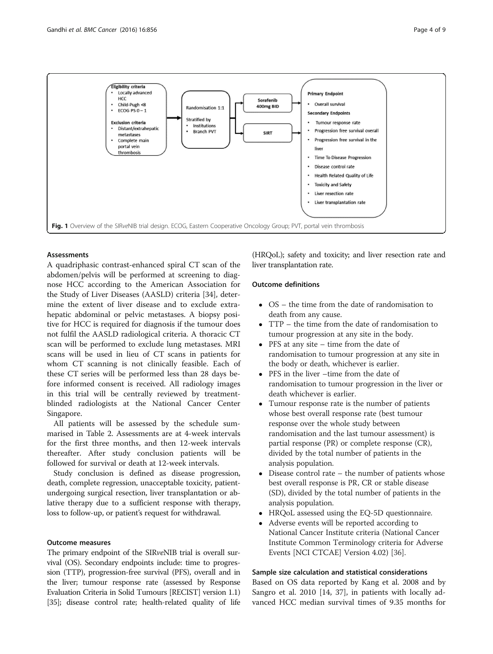<span id="page-3-0"></span>

## Assessments

A quadriphasic contrast-enhanced spiral CT scan of the abdomen/pelvis will be performed at screening to diagnose HCC according to the American Association for the Study of Liver Diseases (AASLD) criteria [[34\]](#page-8-0), determine the extent of liver disease and to exclude extrahepatic abdominal or pelvic metastases. A biopsy positive for HCC is required for diagnosis if the tumour does not fulfil the AASLD radiological criteria. A thoracic CT scan will be performed to exclude lung metastases. MRI scans will be used in lieu of CT scans in patients for whom CT scanning is not clinically feasible. Each of these CT series will be performed less than 28 days before informed consent is received. All radiology images in this trial will be centrally reviewed by treatmentblinded radiologists at the National Cancer Center Singapore.

All patients will be assessed by the schedule summarised in Table [2.](#page-4-0) Assessments are at 4-week intervals for the first three months, and then 12-week intervals thereafter. After study conclusion patients will be followed for survival or death at 12-week intervals.

Study conclusion is defined as disease progression, death, complete regression, unacceptable toxicity, patientundergoing surgical resection, liver transplantation or ablative therapy due to a sufficient response with therapy, loss to follow-up, or patient's request for withdrawal.

## Outcome measures

The primary endpoint of the SIRveNIB trial is overall survival (OS). Secondary endpoints include: time to progression (TTP), progression-free survival (PFS), overall and in the liver; tumour response rate (assessed by Response Evaluation Criteria in Solid Tumours [RECIST] version 1.1) [[35](#page-8-0)]; disease control rate; health-related quality of life

(HRQoL); safety and toxicity; and liver resection rate and liver transplantation rate.

## Outcome definitions

- OS the time from the date of randomisation to death from any cause.
- TTP the time from the date of randomisation to tumour progression at any site in the body.
- PFS at any site time from the date of randomisation to tumour progression at any site in the body or death, whichever is earlier.
- PFS in the liver –time from the date of randomisation to tumour progression in the liver or death whichever is earlier.
- Tumour response rate is the number of patients whose best overall response rate (best tumour response over the whole study between randomisation and the last tumour assessment) is partial response (PR) or complete response (CR), divided by the total number of patients in the analysis population.
- Disease control rate the number of patients whose best overall response is PR, CR or stable disease (SD), divided by the total number of patients in the analysis population.
- HRQoL assessed using the EQ-5D questionnaire.
- Adverse events will be reported according to National Cancer Institute criteria (National Cancer Institute Common Terminology criteria for Adverse Events [NCI CTCAE] Version 4.02) [[36](#page-8-0)].

## Sample size calculation and statistical considerations

Based on OS data reported by Kang et al. 2008 and by Sangro et al. 2010 [\[14,](#page-7-0) [37](#page-8-0)], in patients with locally advanced HCC median survival times of 9.35 months for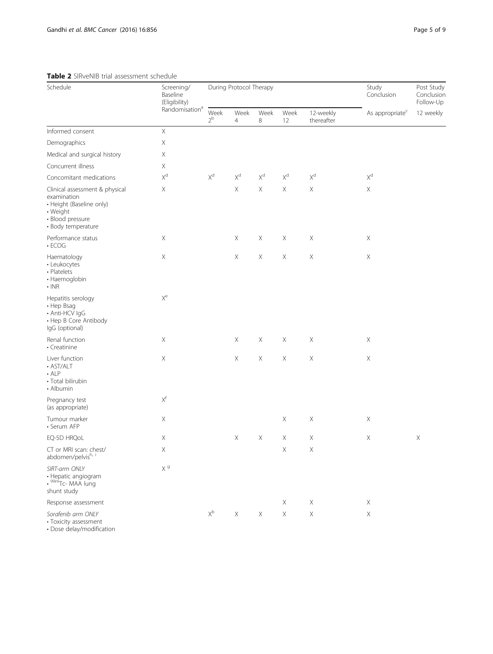## <span id="page-4-0"></span>Table 2 SIRveNIB trial assessment schedule

| <b>HODIC 2</b> DIRVERID that assessment scribball<br>Schedule                                                                   | Screening/<br>Baseline<br>(Eligibility) | During Protocol Therapy   |                           |                           |                         |                           | Study<br>Conclusion         | Post Study<br>Conclusion<br>Follow-Up |
|---------------------------------------------------------------------------------------------------------------------------------|-----------------------------------------|---------------------------|---------------------------|---------------------------|-------------------------|---------------------------|-----------------------------|---------------------------------------|
|                                                                                                                                 | Randomisation <sup>a</sup>              | Week<br>2 <sup>b</sup>    | Week<br>$\overline{4}$    | Week<br>8                 | Week<br>12              | 12-weekly<br>thereafter   | As appropriate <sup>c</sup> | 12 weekly                             |
| Informed consent                                                                                                                | $\bar{X}$                               |                           |                           |                           |                         |                           |                             |                                       |
| Demographics                                                                                                                    | $\mathsf X$                             |                           |                           |                           |                         |                           |                             |                                       |
| Medical and surgical history                                                                                                    | X                                       |                           |                           |                           |                         |                           |                             |                                       |
| Concurrent illness                                                                                                              | Χ                                       |                           |                           |                           |                         |                           |                             |                                       |
| Concomitant medications                                                                                                         | $\mathsf{X}^{\mathrm{d}}$               | $\mathsf{X}^{\mathsf{d}}$ | $\mathsf{X}^{\mathsf{d}}$ | $\mathsf{X}^{\mathsf{d}}$ | $\mathsf{X}^\mathsf{d}$ | $\mathsf{X}^{\mathrm{d}}$ | $\mathsf{X}^\mathsf{d}$     |                                       |
| Clinical assessment & physical<br>examination<br>• Height (Baseline only)<br>• Weight<br>• Blood pressure<br>· Body temperature | X                                       |                           | Χ                         | $\mathsf X$               | Χ                       | $\mathsf X$               | $\mathsf X$                 |                                       |
| Performance status<br>$\cdot$ ECOG                                                                                              | $\boldsymbol{\times}$                   |                           | $\mathsf X$               | $\mathsf X$               | Χ                       | Χ                         | $\boldsymbol{\times}$       |                                       |
| Haematology<br>• Leukocytes<br>• Platelets<br>• Haemoglobin<br>$\cdot$ INR                                                      | $\mathsf X$                             |                           | $\mathsf X$               | $\mathsf X$               | $\mathsf X$             | $\mathsf X$               | $\mathsf X$                 |                                       |
| Hepatitis serology<br>• Hep Bsag<br>· Anti-HCV IgG<br>• Hep B Core Antibody<br>IgG (optional)                                   | $\mathsf{X}^{\mathrm{e}}$               |                           |                           |                           |                         |                           |                             |                                       |
| Renal function<br>• Creatinine                                                                                                  | Χ                                       |                           | $\mathsf X$               | X                         | $\mathsf X$             | X                         | Χ                           |                                       |
| Liver function<br>· AST/ALT<br>$\cdot$ ALP<br>· Total bilirubin<br>• Albumin                                                    | $\mathsf X$                             |                           | $\mathsf X$               | $\mathsf X$               | $\mathsf X$             | $\mathsf X$               | $\mathsf X$                 |                                       |
| Pregnancy test<br>(as appropriate)                                                                                              | $\mathsf{X}^{\mathsf{f}}$               |                           |                           |                           |                         |                           |                             |                                       |
| Tumour marker<br>· Serum AFP                                                                                                    | Χ                                       |                           |                           |                           | $\mathsf X$             | Χ                         | $\mathsf X$                 |                                       |
| EQ-5D HRQoL                                                                                                                     | X                                       |                           | $\mathsf X$               | $\mathsf X$               | Χ                       | $\mathsf X$               | $\mathsf X$                 | $\mathsf X$                           |
| CT or MRI scan: chest/<br>abdomen/pelvish, i                                                                                    | $\mathsf X$                             |                           |                           |                           | Χ                       | $\mathsf X$               |                             |                                       |
| SIRT-arm ONLY<br>• Hepatic angiogram<br>• <sup>99m</sup> Tc- MAA lung<br>shunt study                                            | $X^g$                                   |                           |                           |                           |                         |                           |                             |                                       |
| Response assessment                                                                                                             |                                         |                           |                           |                           | $\mathsf X$             | Χ                         | $\mathsf X$                 |                                       |
| Sorafenib arm ONLY<br>• Toxicity assessment                                                                                     |                                         | $\mathsf{X}^{\mathsf{b}}$ | $\mathsf X$               | $\mathsf X$               | $\mathsf X$             | $\mathsf X$               | $\mathsf X$                 |                                       |

• Dose delay/modification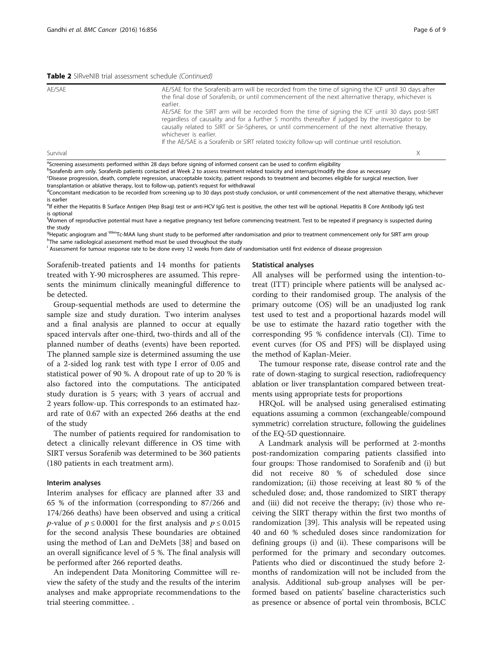#### Table 2 SIRveNIB trial assessment schedule (Continued)

| AE/SAE   | AE/SAE for the Sorafenib arm will be recorded from the time of signing the ICF until 30 days after<br>the final dose of Sorafenib, or until commencement of the next alternative therapy, whichever is<br>earlier.<br>AE/SAE for the SIRT arm will be recorded from the time of signing the ICF until 30 days post-SIRT<br>regardless of causality and for a further 5 months thereafter if judged by the investigator to be<br>causally related to SIRT or Sir-Spheres, or until commencement of the next alternative therapy,<br>whichever is earlier.<br>If the AE/SAE is a Sorafenib or SIRT related toxicity follow-up will continue until resolution. |
|----------|-------------------------------------------------------------------------------------------------------------------------------------------------------------------------------------------------------------------------------------------------------------------------------------------------------------------------------------------------------------------------------------------------------------------------------------------------------------------------------------------------------------------------------------------------------------------------------------------------------------------------------------------------------------|
| Survival | X                                                                                                                                                                                                                                                                                                                                                                                                                                                                                                                                                                                                                                                           |

<sup>a</sup>Screening assessments performed within 28 days before signing of informed consent can be used to confirm eligibility

b<br>Sorafenib arm only. Sorafenib patients contacted at Week 2 to assess treatment related toxicity and interrupt/modify the dose as necessary c Disease progression, death, complete regression, unacceptable toxicity, patient responds to treatment and becomes eligible for surgical resection, liver transplantation or ablative therapy, lost to follow-up, patient's request for withdrawal

<sup>d</sup>Concomitant medication to be recorded from screening up to 30 days post-study conclusion, or until commencement of the next alternative therapy, whichever is earlier

<sup>e</sup>lf either the Hepatitis B Surface Antigen (Hep Bsag) test or anti-HCV IgG test is positive, the other test will be optional. Hepatitis B Core Antibody IgG test is optional

f Women of reproductive potential must have a negative pregnancy test before commencing treatment. Test to be repeated if pregnancy is suspected during the study

<sup>9</sup>Hepatic angiogram and <sup>99m</sup>Tc-MAA lung shunt study to be performed after randomisation and prior to treatment commencement only for SIRT arm group<br><sup>h</sup>The same radiological assessment method must be used throughout the s <sup>h</sup>The same radiological assessment method must be used throughout the study

i Assessment for tumour response rate to be done every 12 weeks from date of randomisation until first evidence of disease progression

Sorafenib-treated patients and 14 months for patients treated with Y-90 microspheres are assumed. This represents the minimum clinically meaningful difference to be detected.

Group-sequential methods are used to determine the sample size and study duration. Two interim analyses and a final analysis are planned to occur at equally spaced intervals after one-third, two-thirds and all of the planned number of deaths (events) have been reported. The planned sample size is determined assuming the use of a 2-sided log rank test with type I error of 0.05 and statistical power of 90 %. A dropout rate of up to 20 % is also factored into the computations. The anticipated study duration is 5 years; with 3 years of accrual and 2 years follow-up. This corresponds to an estimated hazard rate of 0.67 with an expected 266 deaths at the end of the study

The number of patients required for randomisation to detect a clinically relevant difference in OS time with SIRT versus Sorafenib was determined to be 360 patients (180 patients in each treatment arm).

## Interim analyses

Interim analyses for efficacy are planned after 33 and 65 % of the information (corresponding to 87/266 and 174/266 deaths) have been observed and using a critical *p*-value of  $p \le 0.0001$  for the first analysis and  $p \le 0.015$ for the second analysis These boundaries are obtained using the method of Lan and DeMets [\[38](#page-8-0)] and based on an overall significance level of 5 %. The final analysis will be performed after 266 reported deaths.

An independent Data Monitoring Committee will review the safety of the study and the results of the interim analyses and make appropriate recommendations to the trial steering committee. .

### Statistical analyses

All analyses will be performed using the intention-totreat (ITT) principle where patients will be analysed according to their randomised group. The analysis of the primary outcome (OS) will be an unadjusted log rank test used to test and a proportional hazards model will be use to estimate the hazard ratio together with the corresponding 95 % confidence intervals (CI). Time to event curves (for OS and PFS) will be displayed using the method of Kaplan-Meier.

The tumour response rate, disease control rate and the rate of down-staging to surgical resection, radiofrequency ablation or liver transplantation compared between treatments using appropriate tests for proportions

HRQoL will be analysed using generalised estimating equations assuming a common (exchangeable/compound symmetric) correlation structure, following the guidelines of the EQ-5D questionnaire.

A Landmark analysis will be performed at 2-months post-randomization comparing patients classified into four groups: Those randomised to Sorafenib and (i) but did not receive 80 % of scheduled dose since randomization; (ii) those receiving at least 80 % of the scheduled dose; and, those randomized to SIRT therapy and (iii) did not receive the therapy; (iv) those who receiving the SIRT therapy within the first two months of randomization [\[39](#page-8-0)]. This analysis will be repeated using 40 and 60 % scheduled doses since randomization for defining groups (i) and (ii). These comparisons will be performed for the primary and secondary outcomes. Patients who died or discontinued the study before 2 months of randomization will not be included from the analysis. Additional sub-group analyses will be performed based on patients' baseline characteristics such as presence or absence of portal vein thrombosis, BCLC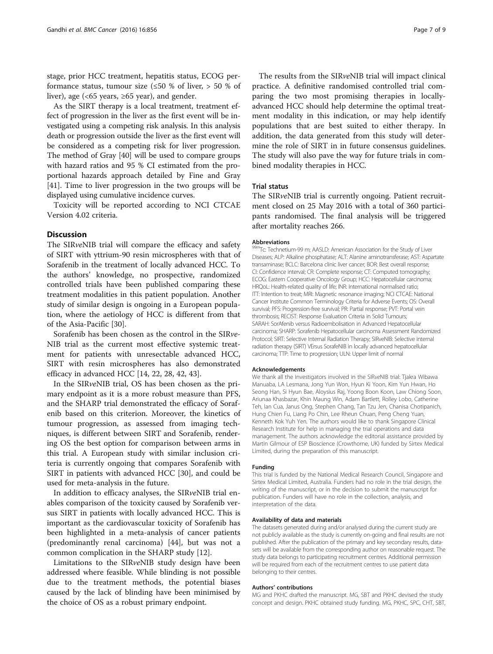stage, prior HCC treatment, hepatitis status, ECOG performance status, tumour size ( $\leq 50$  % of liver, > 50 % of liver), age (<65 years,  $\geq 65$  year), and gender.

As the SIRT therapy is a local treatment, treatment effect of progression in the liver as the first event will be investigated using a competing risk analysis. In this analysis death or progression outside the liver as the first event will be considered as a competing risk for liver progression. The method of Gray [\[40](#page-8-0)] will be used to compare groups with hazard ratios and 95 % CI estimated from the proportional hazards approach detailed by Fine and Gray [[41](#page-8-0)]. Time to liver progression in the two groups will be displayed using cumulative incidence curves.

Toxicity will be reported according to NCI CTCAE Version 4.02 criteria.

## **Discussion**

The SIRveNIB trial will compare the efficacy and safety of SIRT with yttrium-90 resin microspheres with that of Sorafenib in the treatment of locally advanced HCC. To the authors' knowledge, no prospective, randomized controlled trials have been published comparing these treatment modalities in this patient population. Another study of similar design is ongoing in a European population, where the aetiology of HCC is different from that of the Asia-Pacific [[30](#page-8-0)].

Sorafenib has been chosen as the control in the SIRve-NIB trial as the current most effective systemic treatment for patients with unresectable advanced HCC, SIRT with resin microspheres has also demonstrated efficacy in advanced HCC [[14](#page-7-0), [22](#page-8-0), [28](#page-8-0), [42](#page-8-0), [43](#page-8-0)].

In the SIRveNIB trial, OS has been chosen as the primary endpoint as it is a more robust measure than PFS, and the SHARP trial demonstrated the efficacy of Sorafenib based on this criterion. Moreover, the kinetics of tumour progression, as assessed from imaging techniques, is different between SIRT and Sorafenib, rendering OS the best option for comparison between arms in this trial. A European study with similar inclusion criteria is currently ongoing that compares Sorafenib with SIRT in patients with advanced HCC [[30\]](#page-8-0), and could be used for meta-analysis in the future.

In addition to efficacy analyses, the SIRveNIB trial enables comparison of the toxicity caused by Sorafenib versus SIRT in patients with locally advanced HCC. This is important as the cardiovascular toxicity of Sorafenib has been highlighted in a meta-analysis of cancer patients (predominantly renal carcinoma) [[44\]](#page-8-0), but was not a common complication in the SHARP study [[12\]](#page-7-0).

Limitations to the SIRveNIB study design have been addressed where feasible. While blinding is not possible due to the treatment methods, the potential biases caused by the lack of blinding have been minimised by the choice of OS as a robust primary endpoint.

The results from the SIRveNIB trial will impact clinical practice. A definitive randomised controlled trial comparing the two most promising therapies in locallyadvanced HCC should help determine the optimal treatment modality in this indication, or may help identify populations that are best suited to either therapy. In addition, the data generated from this study will determine the role of SIRT in in future consensus guidelines. The study will also pave the way for future trials in combined modality therapies in HCC.

## Trial status

The SIRveNIB trial is currently ongoing. Patient recruitment closed on 25 May 2016 with a total of 360 participants randomised. The final analysis will be triggered after mortality reaches 266.

## Abbreviations

99mTc: Technetium-99 m; AASLD: American Association for the Study of Liver Diseases; ALP: Alkaline phosphatase; ALT: Alanine aminotransferase; AST: Aspartate transaminase; BCLC: Barcelona clinic liver cancer; BOR: Best overall response; CI: Confidence interval; CR: Complete response; CT: Computed tomography; ECOG: Eastern Cooperative Oncology Group; HCC: Hepatocellular carcinoma; HRQoL: Health-related quality of life; INR: International normalised ratio; ITT: Intention to treat; MRI: Magnetic resonance imaging; NCI CTCAE: National Cancer Institute Common Terminology Criteria for Adverse Events; OS: Overall survival; PFS: Progression-free survival; PR: Partial response; PVT: Portal vein thrombosis; RECIST: Response Evaluation Criteria in Solid Tumours; SARAH: SorAfenib versus Radioembolisation in Advanced Hepatocellular carcinoma; SHARP: Sorafenib Hepatocellular carcinoma Assessment Randomized Protocol; SIRT: Selective Internal Radiation Therapy; SIRveNIB: Selective internal radiation therapy (SIRT) VErsus SorafeNIB in locally advanced hepatocellular carcinoma; TTP: Time to progression; ULN: Upper limit of normal

#### Acknowledgements

We thank all the investigators involved in the SIRveNIB trial: Tjakra Wibawa Manuaba, LA Lesmana, Jong Yun Won, Hyun Ki Yoon, Kim Yun Hwan, Ho Seong Han, Si Hyun Bae, Aloysius Raj, Yoong Boon Koon, Law Chiong Soon, Ariunaa Khasbazar, Khin Maung Win, Adam Bartlett, Rolley Lobo, Catherine Teh, Ian Cua, Janus Ong, Stephen Chang, Tan Tzu Jen, Chanisa Chotipanich, Hung Chien Fu, Liang Po Chin, Lee Rheun Chuan, Peng Cheng Yuan, Kenneth Kok Yuh Yen. The authors would like to thank Singapore Clinical Research Institute for help in managing the trial operations and data management. The authors acknowledge the editorial assistance provided by Martin Gilmour of ESP Bioscience (Crowthorne, UK) funded by Sirtex Medical Limited, during the preparation of this manuscript.

## Funding

This trial is funded by the National Medical Research Council, Singapore and Sirtex Medical Limited, Australia. Funders had no role in the trial design, the writing of the manuscript, or in the decision to submit the manuscript for publication. Funders will have no role in the collection, analysis, and interpretation of the data.

#### Availability of data and materials

The datasets generated during and/or analysed during the current study are not publicly available as the study is currently on-going and final results are not published. After the publication of the primary and key secondary results, datasets will be available from the corresponding author on reasonable request. The study data belongs to participating recruitment centres. Additional permission will be required from each of the recruitment centres to use patient data belonging to their centres.

#### Authors' contributions

MG and PKHC drafted the manuscript. MG, SBT and PKHC devised the study concept and design. PKHC obtained study funding. MG, PKHC, SPC, CHT, SBT,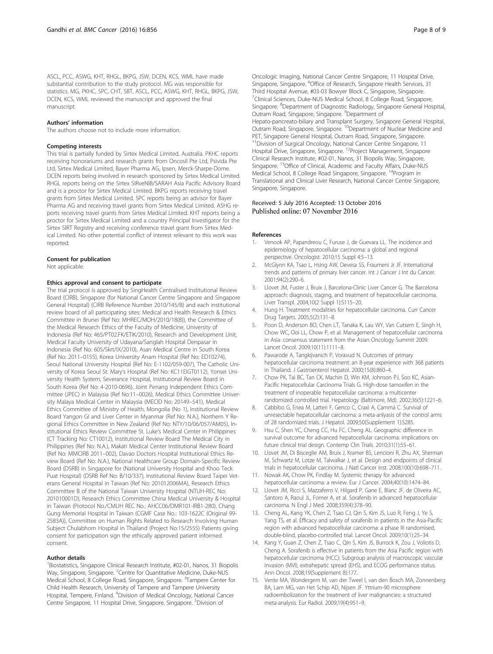<span id="page-7-0"></span>ASCL, PCC, ASWG, KHT, RHGL, BKPG, JSW, DCEN, KCS, WML have made substantial contribution to the study protocol. MG was responsible for statistics. MG, PKHC, SPC, CHT, SBT, ASCL, PCC, ASWG, KHT, RHGL, BKPG, JSW, DCEN, KCS, WML reviewed the manuscript and approved the final manuscript.

#### Authors' information

The authors choose not to include more information.

#### Competing interests

This trial is partially funded by Sirtex Medical Limited, Australia. PKHC reports receiving honorariums and research grants from Oncosil Pte Ltd, Psivida Pte Ltd, Sirtex Medical Limited, Bayer Pharma AG, Ipsen, Merck-Sharpe-Dome. DCEN reports being involved in research sponsored by Sirtex Medical Limited. RHGL reports being on the Sirtex SIRveNIB/SARAH Asia Pacific Advisory Board and is a proctor for Sirtex Medical Limited. BKPG reports receiving travel grants from Sirtex Medical Limited. SPC reports being an advisor for Bayer Pharma AG and receiving travel grants from Sirtex Medical Limited. ASHG reports receiving travel grants from Sirtex Medical Limited. KHT reports being a proctor for Sirtex Medical Limited and a country Principal Investigator for the Sirtex SIRT Registry and receiving conference travel grant from Sirtex Medical Limited. No other potential conflict of interest relevant to this work was reported.

#### Consent for publication

Not applicable.

#### Ethics approval and consent to participate

The trial protocol is approved by SingHealth Centralised Institutional Review Board (CIRB), Singapore (for National Cancer Centre Singapore and Singapore General Hospital) (CIRB Reference Number 2010/145/B) and each institutional review board of all participating sites: Medical and Health Research & Ethics Committee in Brunei (Ref No: MHREC/MOH/2010/18(8)), the Committee of the Medical Research Ethics of the Faculty of Medicine, University of Indonesia (Ref No: 465/PT02.FK/ETIK/2010), Research and Development Unit, Medical Faculty University of Udayana/Sanglah Hospital Denpasar in Indonesia (Ref No: 605/Skrt/IX/2010), Asan Medical Centre in South Korea (Ref No: 2011–0155), Korea University Anam Hospital (Ref No: ED10274), Seoul National University Hospital (Ref No: E-1102/059-007), The Catholic University of Korea Seoul St. Mary's Hospital (Ref No: KC11EIGT0112), Yonsei University Health System, Severance Hospital, Institutional Review Board in South Korea (Ref No: 4-2010-0696), Joint Penang Independent Ethics Committee (JPEC) in Malaysia (Ref No:11–0026), Medical Ethics Committee University Malaya Medical Center in Malaysia (MECID No: 20149–541), Medical Ethics Committee of Ministry of Health, Mongolia (No 1), Institutional Review Board Yangon GI and Liver Center in Myanmar (Ref No: N.A.), Northern Y Regional Ethics Committee in New Zealand (Ref No: NTY/10/06/057/AM05), Institutional Ethics Review Committee St. Luke's Medical Center in Philippines (CT Tracking No: CT10012), Institutional Review Board The Medical City in Philippines (Ref No: N.A.), Makati Medical Center Institutional Review Board (Ref No: MMCIRB 2011–002), Davao Doctors Hospital Institutional Ethics Review Board (Ref No: N.A.), National Healthcare Group Domain-Specific Review Board (DSRB) in Singapore for (National University Hospital and Khoo Teck Puat Hospital) (DSRB Ref No: B/10/337), Institutional Review Board Taipei Veterans General Hospital in Taiwan (Ref No: 201012006MA), Research Ethics Committee B of the National Taiwan University Hospital (NTUH-REC No: 201010001D), Research Ethics Committee China Medical University & Hospital in Taiwan (Protocol No./CMUH REC No.: AHCC06/DMR101-IRB1-280), Chang Gung Memorial Hospital in Taiwan (CGMF Case No.: 103-1622C (Original 99- 2583A)), Committee on Human Rights Related to Research Involving Human Subject Chulabhorn Hospital in Thailand (Project No:15/2555) Patients giving consent for participation sign the ethically approved patient informed consent.

## Author details

<sup>1</sup>Biostatistics, Singapore Clinical Research Institute, #02-01, Nanos, 31 Biopolis Way, Singapore, Singapore. <sup>2</sup>Centre for Quantitative Medicine, Duke-NUS Medical School, 8 College Road, Singapore, Singapore. <sup>3</sup>Tampere Center for Child Health Research, University of Tampere and Tampere University Hospital, Tempere, Finland. <sup>4</sup>Division of Medical Oncology, National Cancer Centre Singapore, 11 Hospital Drive, Singapore, Singapore. <sup>5</sup>Division of

Oncologic Imaging, National Cancer Centre Singapore, 11 Hospital Drive, Singapore, Singapore. <sup>6</sup>Office of Research, Singapore Health Services, 31 Third Hospital Avenue, #03-03 Bowyer Block C, Singapore, Singapore. <sup>7</sup>Clinical Sciences, Duke-NUS Medical School, 8 College Road, Singapore, Singapore. <sup>8</sup>Department of Diagnostic Radiology, Singapore General Hospital Outram Road, Singapore, Singapore. <sup>9</sup>Department of Hepato-pancreato-biliary and Transplant Surgery, Singapore General Hospital, Outram Road, Singapore, Singapore. <sup>10</sup>Department of Nuclear Medicine and PET, Singapore General Hospital, Outram Road, Singapore, Singapore. <sup>11</sup>Division of Surgical Oncology, National Cancer Centre Singapore, 11 Hospital Drive, Singapore, Singapore. 12Project Management, Singapore Clinical Research Institute, #02-01, Nanos, 31 Biopolis Way, Singapore, Singapore. <sup>13</sup>Office of Clinical, Academic and Faculty Affairs, Duke-NUS Medical School, 8 College Road Singapore, Singapore. 14Program in Translational and Clinical Liver Research, National Cancer Centre Singapore, Singapore, Singapore.

## Received: 5 July 2016 Accepted: 13 October 2016 Published online: 07 November 2016

#### References

- Venook AP, Papandreou C, Furuse J, de Guevara LL. The incidence and epidemiology of hepatocellular carcinoma: a global and regional perspective. Oncologist. 2010;15 Suppl 4:5–13.
- 2. McGlynn KA, Tsao L, Hsing AW, Devesa SS, Fraumeni Jr JF. International trends and patterns of primary liver cancer. Int J Cancer J Int du Cancer. 2001;94(2):290–6.
- 3. Llovet JM, Fuster J, Bruix J, Barcelona-Clinic Liver Cancer G. The Barcelona approach: diagnosis, staging, and treatment of hepatocellular carcinoma. Liver Transpl. 2004;10(2 Suppl 1):S115–20.
- 4. Hung H. Treatment modalities for hepatocellular carcinoma. Curr Cancer Drug Targets. 2005;5(2):131–8.
- Poon D, Anderson BO, Chen LT, Tanaka K, Lau WY, Van Cutsem E, Singh H, Chow WC, Ooi LL, Chow P, et al. Management of hepatocellular carcinoma in Asia: consensus statement from the Asian Oncology Summit 2009. Lancet Oncol. 2009;10(11):1111–8.
- Pawarode A, Tangkijvanich P, Voravud N. Outcomes of primary hepatocellular carcinoma treatment: an 8-year experience with 368 patients in Thailand. J Gastroenterol Hepatol. 2000;15(8):860–4.
- 7. Chow PK, Tai BC, Tan CK, Machin D, Win KM, Johnson PJ, Soo KC, Asian-Pacific Hepatocellular Carcinoma Trials G. High-dose tamoxifen in the treatment of inoperable hepatocellular carcinoma: a multicenter randomized controlled trial. Hepatology (Baltimore, Md). 2002;36(5):1221–6.
- Cabbibo G, Enea M, Latteri F, Genco C, Craxì A, Cammá C. Survival of unresectable hepatocellular carcinoma: a meta-anlyasis of the control arms of 28 randomized trials. J Hepatol. 2009;50(Supplement 1):S285.
- Hsu C, Shen YC, Cheng CC, Hu FC, Cheng AL. Geographic difference in survival outcome for advanced hepatocellular carcinoma: implications on future clinical trial design. Contemp Clin Trials. 2010;31(1):55–61.
- 10. Llovet JM, Di Bisceglie AM, Bruix J, Kramer BS, Lencioni R, Zhu AX, Sherman M, Schwartz M, Lotze M, Talwalkar J, et al. Design and endpoints of clinical trials in hepatocellular carcinoma. J Natl Cancer Inst. 2008;100(10):698–711.
- 11. Nowak AK, Chow PK, Findlay M. Systemic therapy for advanced hepatocellular carcinoma: a review. Eur J Cancer. 2004;40(10):1474–84.
- 12. Llovet JM, Ricci S, Mazzaferro V, Hilgard P, Gane E, Blanc JF, de Oliveira AC, Santoro A, Raoul JL, Forner A, et al. Sorafenib in advanced hepatocellular carcinoma. N Engl J Med. 2008;359(4):378–90.
- 13. Cheng AL, Kang YK, Chen Z, Tsao CJ, Qin S, Kim JS, Luo R, Feng J, Ye S, Yang TS, et al. Efficacy and safety of sorafenib in patients in the Asia-Pacific region with advanced hepatocellular carcinoma: a phase III randomised, double-blind, placebo-controlled trial. Lancet Oncol. 2009;10(1):25–34.
- 14. Kang Y, Guan Z, Chen Z, Tsao C, Qin S, Kim JS, Burrock K, Zou J, Voliotis D, Cheng A. Sorafenib is effective in patients from the Asia Pacific region with hepatocellular carcinoma (HCC): Subgroup analysis of macroscopic vascular invasion (MVI), extrahepatic spread (EHS), and ECOG performance status. Ann Oncol. 2008;19(Supplement 8):177.
- 15. Vente MA, Wondergem M, van der Tweel I, van den Bosch MA, Zonnenberg BA, Lam MG, van Het Schip AD, Nijsen JF. Yttrium-90 microsphere radioembolization for the treatment of liver malignancies: a structured meta-analysis. Eur Radiol. 2009;19(4):951–9.